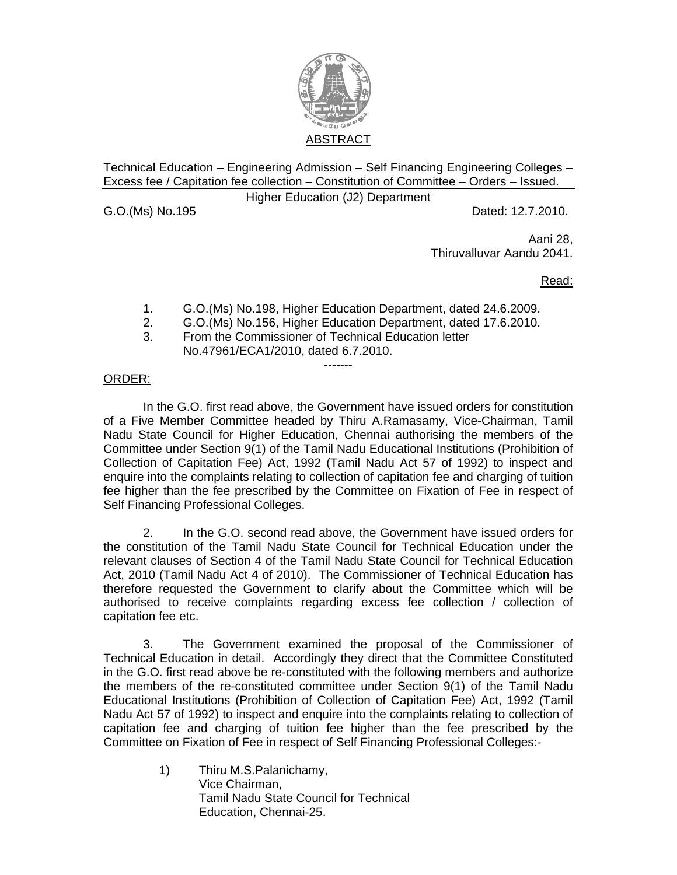

Technical Education – Engineering Admission – Self Financing Engineering Colleges – Excess fee / Capitation fee collection – Constitution of Committee – Orders – Issued.

Higher Education (J2) Department

G.O.(Ms) No.195 Dated: 12.7.2010.

Aani 28, Thiruvalluvar Aandu 2041.

Read:

- 1. G.O.(Ms) No.198, Higher Education Department, dated 24.6.2009.
- 2. G.O.(Ms) No.156, Higher Education Department, dated 17.6.2010.

-------

3. From the Commissioner of Technical Education letter No.47961/ECA1/2010, dated 6.7.2010.

## ORDER:

 In the G.O. first read above, the Government have issued orders for constitution of a Five Member Committee headed by Thiru A.Ramasamy, Vice-Chairman, Tamil Nadu State Council for Higher Education, Chennai authorising the members of the Committee under Section 9(1) of the Tamil Nadu Educational Institutions (Prohibition of Collection of Capitation Fee) Act, 1992 (Tamil Nadu Act 57 of 1992) to inspect and enquire into the complaints relating to collection of capitation fee and charging of tuition fee higher than the fee prescribed by the Committee on Fixation of Fee in respect of Self Financing Professional Colleges.

 2. In the G.O. second read above, the Government have issued orders for the constitution of the Tamil Nadu State Council for Technical Education under the relevant clauses of Section 4 of the Tamil Nadu State Council for Technical Education Act, 2010 (Tamil Nadu Act 4 of 2010). The Commissioner of Technical Education has therefore requested the Government to clarify about the Committee which will be authorised to receive complaints regarding excess fee collection / collection of capitation fee etc.

 3. The Government examined the proposal of the Commissioner of Technical Education in detail. Accordingly they direct that the Committee Constituted in the G.O. first read above be re-constituted with the following members and authorize the members of the re-constituted committee under Section 9(1) of the Tamil Nadu Educational Institutions (Prohibition of Collection of Capitation Fee) Act, 1992 (Tamil Nadu Act 57 of 1992) to inspect and enquire into the complaints relating to collection of capitation fee and charging of tuition fee higher than the fee prescribed by the Committee on Fixation of Fee in respect of Self Financing Professional Colleges:-

> 1) Thiru M.S.Palanichamy, Vice Chairman, Tamil Nadu State Council for Technical Education, Chennai-25.